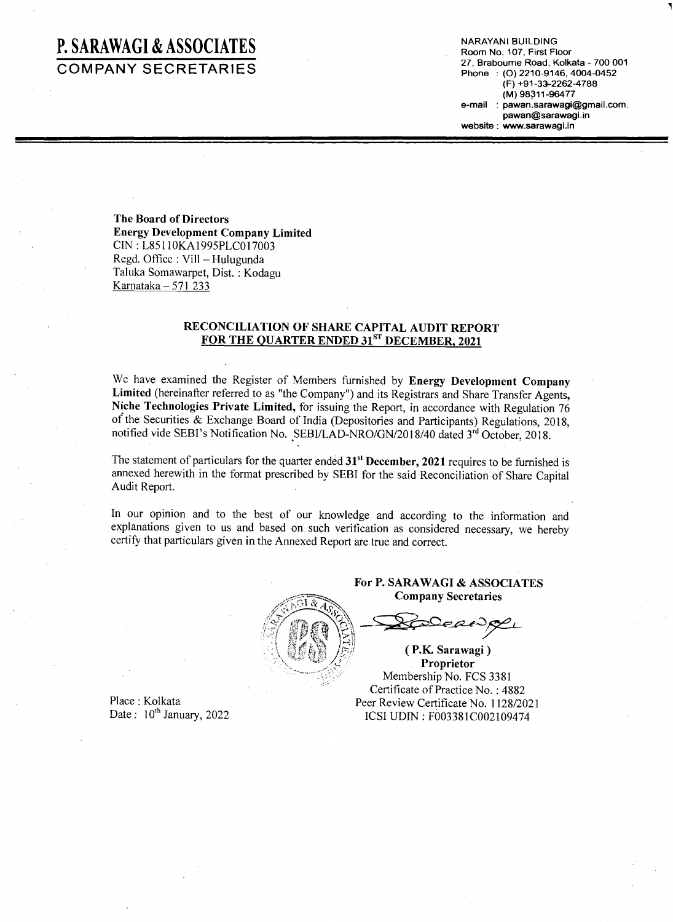### **P. SARAWAGI & ASSOCIATES COMPANY SECRETARIES**

NARAYANI BUILDING Room No. 107, First Floor 27, Brabourne Road, Kolkata - 700 001 Phone : (0) 2210-9146, 4004-0452 (F) +91-33-2262-4788 (M) 98311-96477 e-mail: pawan.sarawagi@gmail.com. pawan@sarawagi.in website: www.sarawagi.in

•

The Board of Directors Energy Development Company Limited CIN: L85110KA1995PLC017003 Regd. Office: Vill - Hulugunda Taluka Somawarpet, Dist. : Kodagu Karnataka  $-571$  233

### RECONCILIATION OF SHARE CAPITAL AUDIT REPORT FOR THE QUARTER ENDED 31<sup>ST</sup> DECEMBER, 2021

We have examined the Register of Members furnished by Energy Development Company Limited (hereinafter referred to as "the Company") and its Registrars and Share Transfer Agents, Niche Technologies Private Limited, for issuing the Report, in accordance with Regulation 76 of the Securities & Exchange Board of India (Depositories and Participants) Regulations, 2018, notified vide SEBI's Notification No. SEBI/LAD-NRO/GN/2018/40 dated 3rd October, 2018.

The statement of particulars for the quarter ended 31<sup>st</sup> December, 2021 requires to be furnished is annexed herewith in the format prescribed by SEBI for the said Reconciliation of Share Capital Audit Report.

In our opinion and to the best of our knowledge and according to the information and explanations given to us and based on such verification as considered necessary, we hereby certify that particulars given in the Annexed Report are true and correct.



For P. SARA WAGI & ASSOCIATES Company Secretaries

 $\mathbb{Z}$  .  $\mathbb{Z}$  .  $\mathbb{Z}$  $\frac{\text{company series}}{\text{P}}$ 

*iF(* ~~~ ~ ~~~: I~)) . . " • l ,," rc vJi)o" *;Pci!* ( P.K Sarawagl ) Proprietor  $M$ embership No. FCS 3381 Certificate of Practice No. : 4882 Peer Review Certificate No. 1128/2021 ICSI UDIN : F003381C002109474

Place: Kolkata Date:  $10^{th}$  January, 2022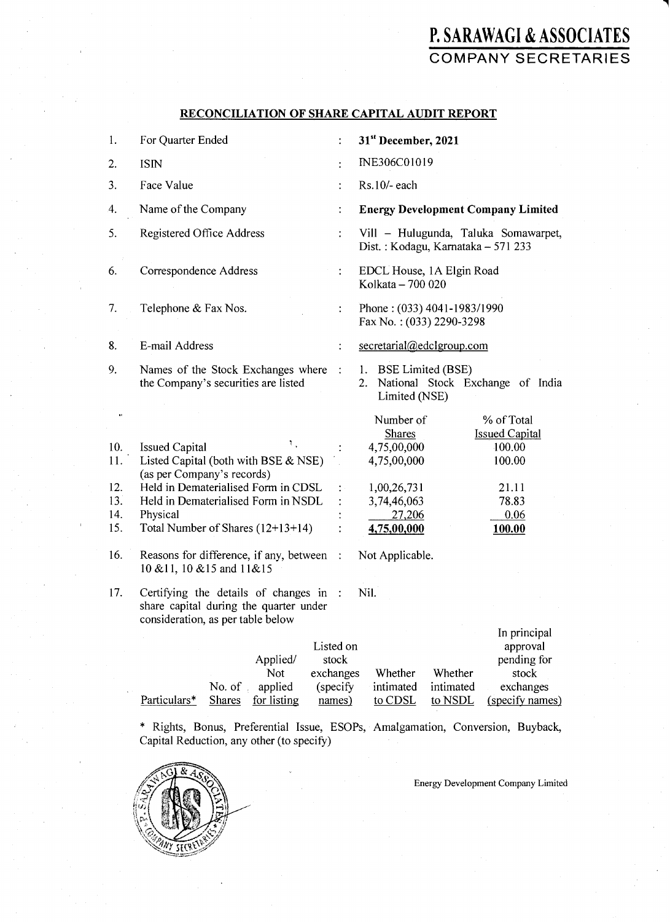# **P. SARAWAGI** & ASSOCIATES COMPANY SECRETARIES

٦

#### RECONCILIATION OF SHARE CAPITAL AUDIT REPORT

| 1.                                            | For Quarter Ended                                                                                                                                                                                                                                                                                         | ÷                                            | 31 <sup>st</sup> December, 2021                                                                                                                                                                                                   |
|-----------------------------------------------|-----------------------------------------------------------------------------------------------------------------------------------------------------------------------------------------------------------------------------------------------------------------------------------------------------------|----------------------------------------------|-----------------------------------------------------------------------------------------------------------------------------------------------------------------------------------------------------------------------------------|
| 2.                                            | <b>ISIN</b>                                                                                                                                                                                                                                                                                               | $\ddot{\cdot}$                               | INE306C01019                                                                                                                                                                                                                      |
| 3.                                            | Face Value                                                                                                                                                                                                                                                                                                | ÷                                            | Rs.10/- each                                                                                                                                                                                                                      |
| 4.                                            | Name of the Company                                                                                                                                                                                                                                                                                       | $\ddot{\cdot}$                               | <b>Energy Development Company Limited</b>                                                                                                                                                                                         |
| 5.                                            | Registered Office Address                                                                                                                                                                                                                                                                                 |                                              | Vill - Hulugunda, Taluka Somawarpet,<br>Dist.: Kodagu, Karnataka - 571 233                                                                                                                                                        |
| 6.                                            | Correspondence Address                                                                                                                                                                                                                                                                                    |                                              | EDCL House, 1A Elgin Road<br>Kolkata - 700 020                                                                                                                                                                                    |
| 7.                                            | Telephone & Fax Nos.                                                                                                                                                                                                                                                                                      | $\ddot{\cdot}$                               | Phone: (033) 4041-1983/1990<br>Fax No.: (033) 2290-3298                                                                                                                                                                           |
| 8.                                            | E-mail Address                                                                                                                                                                                                                                                                                            | $\ddot{\cdot}$                               | secretarial@edclgroup.com                                                                                                                                                                                                         |
| 9.                                            | Names of the Stock Exchanges where<br>the Company's securities are listed                                                                                                                                                                                                                                 | $\mathbb{R}^2$                               | 1. BSE Limited (BSE)<br>National Stock Exchange of India<br>2.<br>Limited (NSE)                                                                                                                                                   |
| 10.<br>11.<br>12.<br>13.<br>14.<br>15.<br>16. | ٦.<br><b>Issued Capital</b><br>Listed Capital (both with BSE & NSE)<br>(as per Company's records)<br>Held in Dematerialised Form in CDSL<br>Held in Dematerialised Form in NSDL<br>Physical<br>Total Number of Shares (12+13+14)<br>Reasons for difference, if any, between<br>10 & 11, 10 & 15 and 11&15 | $\ddot{\cdot}$<br>$\ddot{\cdot}$             | % of Total<br>Number of<br><b>Shares</b><br><b>Issued Capital</b><br>4,75,00,000<br>100.00<br>4,75,00,000<br>100.00<br>1,00,26,731<br>21.11<br>3,74,46,063<br>78.83<br>27,206<br>0.06<br>4,75,00,000<br>100.00<br>Not Applicable. |
| 17.                                           | Certifying the details of changes in<br>share capital during the quarter under<br>consideration, as per table below<br>Applied/<br>Not<br>exchanges<br>applied<br>No. of                                                                                                                                  | $\cdot$ :<br>Listed on<br>stock<br>(specify) | Nil.<br>In principal<br>approval<br>pending for<br>Whether<br>Whether<br>stock<br>intimated<br>intimated<br>exchanges                                                                                                             |

\* Rights, Bonus, Preferential Issue, ESOPs, Amalgamation, Conversion, Buyback, Capital Reduction, any other (to specify)

Particulars\* Shares for listing names) to CDSL to NSDL (specify names)



Energy Development Company Limited